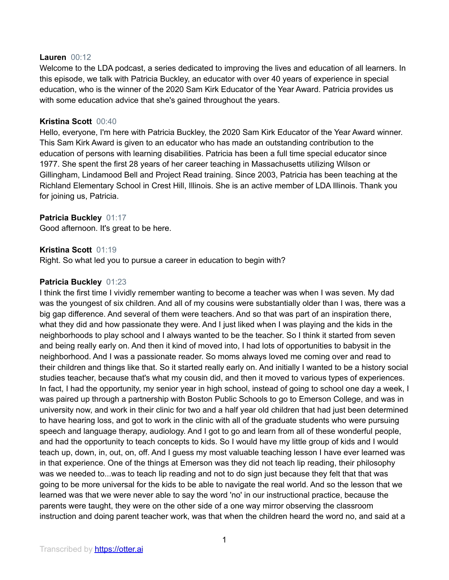#### **Lauren** 00:12

Welcome to the LDA podcast, a series dedicated to improving the lives and education of all learners. In this episode, we talk with Patricia Buckley, an educator with over 40 years of experience in special education, who is the winner of the 2020 Sam Kirk Educator of the Year Award. Patricia provides us with some education advice that she's gained throughout the years.

#### **Kristina Scott** 00:40

Hello, everyone, I'm here with Patricia Buckley, the 2020 Sam Kirk Educator of the Year Award winner. This Sam Kirk Award is given to an educator who has made an outstanding contribution to the education of persons with learning disabilities. Patricia has been a full time special educator since 1977. She spent the first 28 years of her career teaching in Massachusetts utilizing Wilson or Gillingham, Lindamood Bell and Project Read training. Since 2003, Patricia has been teaching at the Richland Elementary School in Crest Hill, Illinois. She is an active member of LDA Illinois. Thank you for joining us, Patricia.

# **Patricia Buckley** 01:17

Good afternoon. It's great to be here.

#### **Kristina Scott** 01:19

Right. So what led you to pursue a career in education to begin with?

# **Patricia Buckley** 01:23

I think the first time I vividly remember wanting to become a teacher was when I was seven. My dad was the youngest of six children. And all of my cousins were substantially older than I was, there was a big gap difference. And several of them were teachers. And so that was part of an inspiration there, what they did and how passionate they were. And I just liked when I was playing and the kids in the neighborhoods to play school and I always wanted to be the teacher. So I think it started from seven and being really early on. And then it kind of moved into, I had lots of opportunities to babysit in the neighborhood. And I was a passionate reader. So moms always loved me coming over and read to their children and things like that. So it started really early on. And initially I wanted to be a history social studies teacher, because that's what my cousin did, and then it moved to various types of experiences. In fact, I had the opportunity, my senior year in high school, instead of going to school one day a week, I was paired up through a partnership with Boston Public Schools to go to Emerson College, and was in university now, and work in their clinic for two and a half year old children that had just been determined to have hearing loss, and got to work in the clinic with all of the graduate students who were pursuing speech and language therapy, audiology. And I got to go and learn from all of these wonderful people, and had the opportunity to teach concepts to kids. So I would have my little group of kids and I would teach up, down, in, out, on, off. And I guess my most valuable teaching lesson I have ever learned was in that experience. One of the things at Emerson was they did not teach lip reading, their philosophy was we needed to...was to teach lip reading and not to do sign just because they felt that that was going to be more universal for the kids to be able to navigate the real world. And so the lesson that we learned was that we were never able to say the word 'no' in our instructional practice, because the parents were taught, they were on the other side of a one way mirror observing the classroom instruction and doing parent teacher work, was that when the children heard the word no, and said at a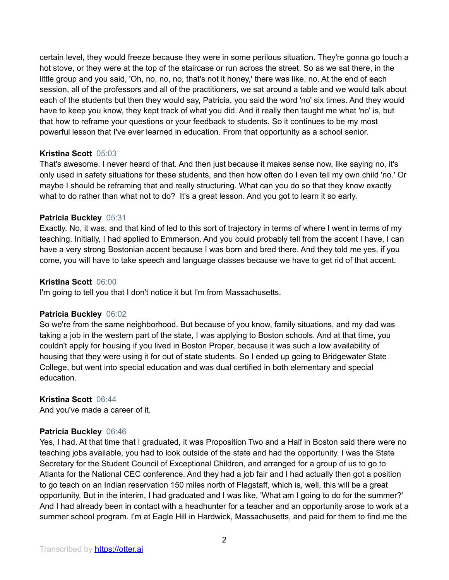certain level, they would freeze because they were in some perilous situation. They're gonna go touch a hot stove, or they were at the top of the staircase or run across the street. So as we sat there, in the little group and you said, 'Oh, no, no, no, that's not it honey,' there was like, no. At the end of each session, all of the professors and all of the practitioners, we sat around a table and we would talk about each of the students but then they would say, Patricia, you said the word 'no' six times. And they would have to keep you know, they kept track of what you did. And it really then taught me what 'no' is, but that how to reframe your questions or your feedback to students. So it continues to be my most powerful lesson that I've ever learned in education. From that opportunity as a school senior.

# **Kristina Scott** 05:03

That's awesome. I never heard of that. And then just because it makes sense now, like saying no, it's only used in safety situations for these students, and then how often do I even tell my own child 'no.' Or maybe I should be reframing that and really structuring. What can you do so that they know exactly what to do rather than what not to do? It's a great lesson. And you got to learn it so early.

# **Patricia Buckley** 05:31

Exactly. No, it was, and that kind of led to this sort of trajectory in terms of where I went in terms of my teaching. Initially, I had applied to Emmerson. And you could probably tell from the accent I have, I can have a very strong Bostonian accent because I was born and bred there. And they told me yes, if you come, you will have to take speech and language classes because we have to get rid of that accent.

#### **Kristina Scott** 06:00

I'm going to tell you that I don't notice it but I'm from Massachusetts.

# **Patricia Buckley** 06:02

So we're from the same neighborhood. But because of you know, family situations, and my dad was taking a job in the western part of the state, I was applying to Boston schools. And at that time, you couldn't apply for housing if you lived in Boston Proper, because it was such a low availability of housing that they were using it for out of state students. So I ended up going to Bridgewater State College, but went into special education and was dual certified in both elementary and special education.

# **Kristina Scott** 06:44

And you've made a career of it.

# **Patricia Buckley** 06:46

Yes, I had. At that time that I graduated, it was Proposition Two and a Half in Boston said there were no teaching jobs available, you had to look outside of the state and had the opportunity. I was the State Secretary for the Student Council of Exceptional Children, and arranged for a group of us to go to Atlanta for the National CEC conference. And they had a job fair and I had actually then got a position to go teach on an Indian reservation 150 miles north of Flagstaff, which is, well, this will be a great opportunity. But in the interim, I had graduated and I was like, 'What am I going to do for the summer?' And I had already been in contact with a headhunter for a teacher and an opportunity arose to work at a summer school program. I'm at Eagle Hill in Hardwick, Massachusetts, and paid for them to find me the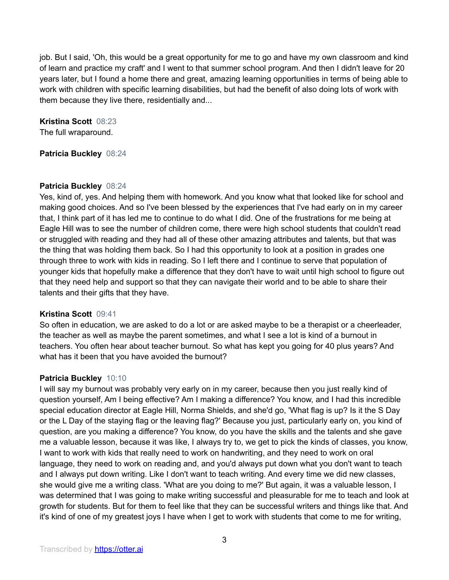job. But I said, 'Oh, this would be a great opportunity for me to go and have my own classroom and kind of learn and practice my craft' and I went to that summer school program. And then I didn't leave for 20 years later, but I found a home there and great, amazing learning opportunities in terms of being able to work with children with specific learning disabilities, but had the benefit of also doing lots of work with them because they live there, residentially and...

**Kristina Scott** 08:23 The full wraparound.

**Patricia Buckley** 08:24

# **Patricia Buckley** 08:24

Yes, kind of, yes. And helping them with homework. And you know what that looked like for school and making good choices. And so I've been blessed by the experiences that I've had early on in my career that, I think part of it has led me to continue to do what I did. One of the frustrations for me being at Eagle Hill was to see the number of children come, there were high school students that couldn't read or struggled with reading and they had all of these other amazing attributes and talents, but that was the thing that was holding them back. So I had this opportunity to look at a position in grades one through three to work with kids in reading. So I left there and I continue to serve that population of younger kids that hopefully make a difference that they don't have to wait until high school to figure out that they need help and support so that they can navigate their world and to be able to share their talents and their gifts that they have.

# **Kristina Scott** 09:41

So often in education, we are asked to do a lot or are asked maybe to be a therapist or a cheerleader, the teacher as well as maybe the parent sometimes, and what I see a lot is kind of a burnout in teachers. You often hear about teacher burnout. So what has kept you going for 40 plus years? And what has it been that you have avoided the burnout?

# **Patricia Buckley** 10:10

I will say my burnout was probably very early on in my career, because then you just really kind of question yourself, Am I being effective? Am I making a difference? You know, and I had this incredible special education director at Eagle Hill, Norma Shields, and she'd go, 'What flag is up? Is it the S Day or the L Day of the staying flag or the leaving flag?' Because you just, particularly early on, you kind of question, are you making a difference? You know, do you have the skills and the talents and she gave me a valuable lesson, because it was like, I always try to, we get to pick the kinds of classes, you know, I want to work with kids that really need to work on handwriting, and they need to work on oral language, they need to work on reading and, and you'd always put down what you don't want to teach and I always put down writing. Like I don't want to teach writing. And every time we did new classes, she would give me a writing class. 'What are you doing to me?' But again, it was a valuable lesson, I was determined that I was going to make writing successful and pleasurable for me to teach and look at growth for students. But for them to feel like that they can be successful writers and things like that. And it's kind of one of my greatest joys I have when I get to work with students that come to me for writing,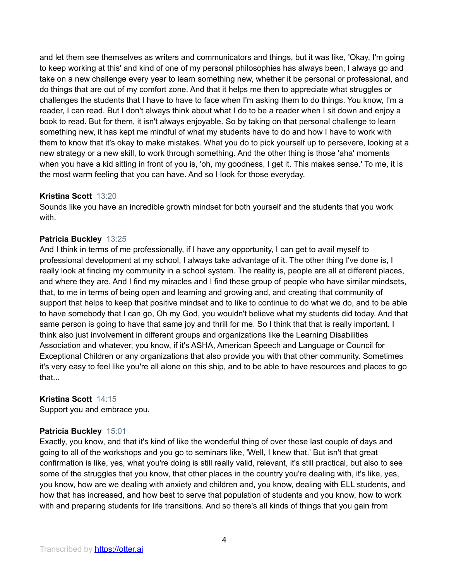and let them see themselves as writers and communicators and things, but it was like, 'Okay, I'm going to keep working at this' and kind of one of my personal philosophies has always been, I always go and take on a new challenge every year to learn something new, whether it be personal or professional, and do things that are out of my comfort zone. And that it helps me then to appreciate what struggles or challenges the students that I have to have to face when I'm asking them to do things. You know, I'm a reader, I can read. But I don't always think about what I do to be a reader when I sit down and enjoy a book to read. But for them, it isn't always enjoyable. So by taking on that personal challenge to learn something new, it has kept me mindful of what my students have to do and how I have to work with them to know that it's okay to make mistakes. What you do to pick yourself up to persevere, looking at a new strategy or a new skill, to work through something. And the other thing is those 'aha' moments when you have a kid sitting in front of you is, 'oh, my goodness, I get it. This makes sense.' To me, it is the most warm feeling that you can have. And so I look for those everyday.

# **Kristina Scott** 13:20

Sounds like you have an incredible growth mindset for both yourself and the students that you work with.

#### **Patricia Buckley** 13:25

And I think in terms of me professionally, if I have any opportunity, I can get to avail myself to professional development at my school, I always take advantage of it. The other thing I've done is, I really look at finding my community in a school system. The reality is, people are all at different places, and where they are. And I find my miracles and I find these group of people who have similar mindsets, that, to me in terms of being open and learning and growing and, and creating that community of support that helps to keep that positive mindset and to like to continue to do what we do, and to be able to have somebody that I can go, Oh my God, you wouldn't believe what my students did today. And that same person is going to have that same joy and thrill for me. So I think that that is really important. I think also just involvement in different groups and organizations like the Learning Disabilities Association and whatever, you know, if it's ASHA, American Speech and Language or Council for Exceptional Children or any organizations that also provide you with that other community. Sometimes it's very easy to feel like you're all alone on this ship, and to be able to have resources and places to go that...

# **Kristina Scott** 14:15

Support you and embrace you.

# **Patricia Buckley** 15:01

Exactly, you know, and that it's kind of like the wonderful thing of over these last couple of days and going to all of the workshops and you go to seminars like, 'Well, I knew that.' But isn't that great confirmation is like, yes, what you're doing is still really valid, relevant, it's still practical, but also to see some of the struggles that you know, that other places in the country you're dealing with, it's like, yes, you know, how are we dealing with anxiety and children and, you know, dealing with ELL students, and how that has increased, and how best to serve that population of students and you know, how to work with and preparing students for life transitions. And so there's all kinds of things that you gain from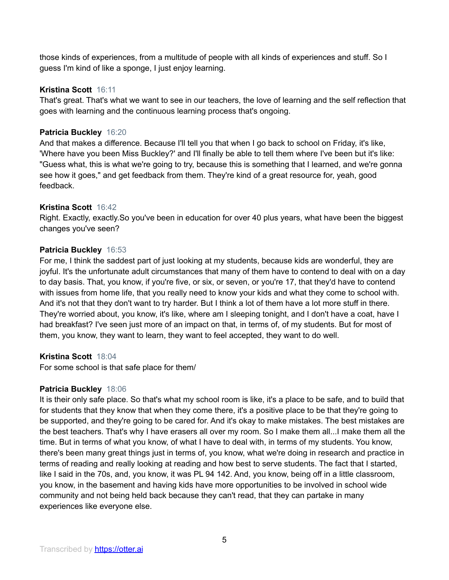those kinds of experiences, from a multitude of people with all kinds of experiences and stuff. So I guess I'm kind of like a sponge, I just enjoy learning.

# **Kristina Scott** 16:11

That's great. That's what we want to see in our teachers, the love of learning and the self reflection that goes with learning and the continuous learning process that's ongoing.

# **Patricia Buckley** 16:20

And that makes a difference. Because I'll tell you that when I go back to school on Friday, it's like, 'Where have you been Miss Buckley?' and I'll finally be able to tell them where I've been but it's like: "Guess what, this is what we're going to try, because this is something that I learned, and we're gonna see how it goes," and get feedback from them. They're kind of a great resource for, yeah, good feedback.

# **Kristina Scott** 16:42

Right. Exactly, exactly.So you've been in education for over 40 plus years, what have been the biggest changes you've seen?

# **Patricia Buckley** 16:53

For me, I think the saddest part of just looking at my students, because kids are wonderful, they are joyful. It's the unfortunate adult circumstances that many of them have to contend to deal with on a day to day basis. That, you know, if you're five, or six, or seven, or you're 17, that they'd have to contend with issues from home life, that you really need to know your kids and what they come to school with. And it's not that they don't want to try harder. But I think a lot of them have a lot more stuff in there. They're worried about, you know, it's like, where am I sleeping tonight, and I don't have a coat, have I had breakfast? I've seen just more of an impact on that, in terms of, of my students. But for most of them, you know, they want to learn, they want to feel accepted, they want to do well.

# **Kristina Scott** 18:04

For some school is that safe place for them/

# **Patricia Buckley** 18:06

It is their only safe place. So that's what my school room is like, it's a place to be safe, and to build that for students that they know that when they come there, it's a positive place to be that they're going to be supported, and they're going to be cared for. And it's okay to make mistakes. The best mistakes are the best teachers. That's why I have erasers all over my room. So I make them all...I make them all the time. But in terms of what you know, of what I have to deal with, in terms of my students. You know, there's been many great things just in terms of, you know, what we're doing in research and practice in terms of reading and really looking at reading and how best to serve students. The fact that I started, like I said in the 70s, and, you know, it was PL 94 142. And, you know, being off in a little classroom, you know, in the basement and having kids have more opportunities to be involved in school wide community and not being held back because they can't read, that they can partake in many experiences like everyone else.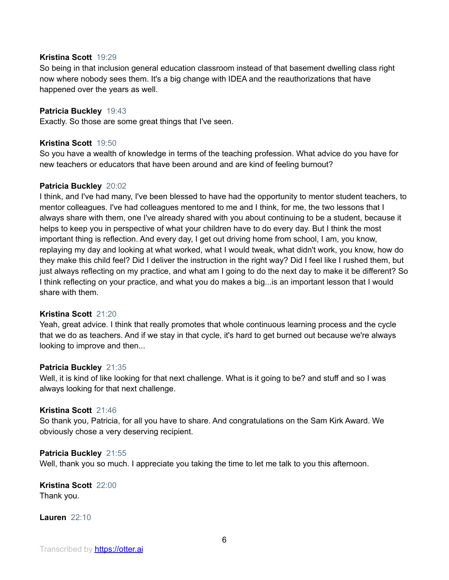#### **Kristina Scott** 19:29

So being in that inclusion general education classroom instead of that basement dwelling class right now where nobody sees them. It's a big change with IDEA and the reauthorizations that have happened over the years as well.

### **Patricia Buckley** 19:43

Exactly. So those are some great things that I've seen.

#### **Kristina Scott** 19:50

So you have a wealth of knowledge in terms of the teaching profession. What advice do you have for new teachers or educators that have been around and are kind of feeling burnout?

#### **Patricia Buckley** 20:02

I think, and I've had many, I've been blessed to have had the opportunity to mentor student teachers, to mentor colleagues. I've had colleagues mentored to me and I think, for me, the two lessons that I always share with them, one I've already shared with you about continuing to be a student, because it helps to keep you in perspective of what your children have to do every day. But I think the most important thing is reflection. And every day, I get out driving home from school, I am, you know, replaying my day and looking at what worked, what I would tweak, what didn't work, you know, how do they make this child feel? Did I deliver the instruction in the right way? Did I feel like I rushed them, but just always reflecting on my practice, and what am I going to do the next day to make it be different? So I think reflecting on your practice, and what you do makes a big...is an important lesson that I would share with them.

#### **Kristina Scott** 21:20

Yeah, great advice. I think that really promotes that whole continuous learning process and the cycle that we do as teachers. And if we stay in that cycle, it's hard to get burned out because we're always looking to improve and then...

#### **Patricia Buckley** 21:35

Well, it is kind of like looking for that next challenge. What is it going to be? and stuff and so I was always looking for that next challenge.

#### **Kristina Scott** 21:46

So thank you, Patricia, for all you have to share. And congratulations on the Sam Kirk Award. We obviously chose a very deserving recipient.

#### **Patricia Buckley** 21:55

Well, thank you so much. I appreciate you taking the time to let me talk to you this afternoon.

#### **Kristina Scott** 22:00 Thank you.

**Lauren** 22:10